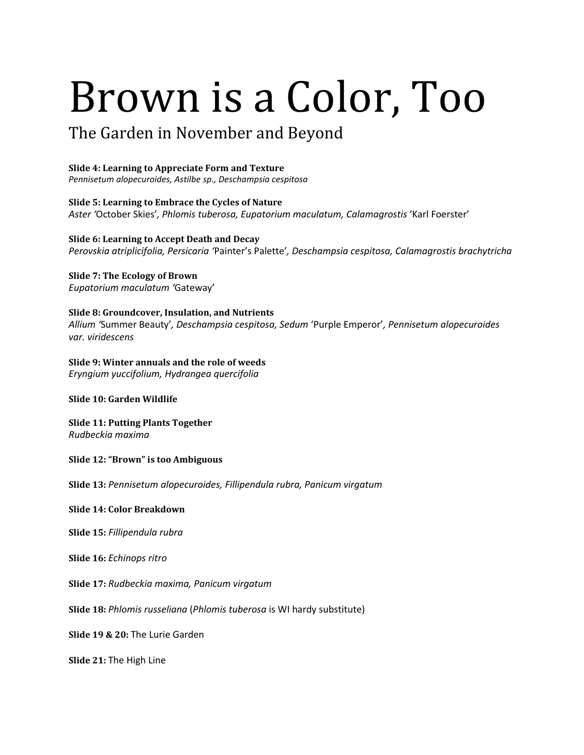## Brown is a Color, Too

## The Garden in November and Beyond

## **Slide 4: Learning to Appreciate Form and Texture**

*Pennisetum alopecuroides, Astilbe sp., Deschampsia cespitosa* 

**Slide 5: Learning to Embrace the Cycles of Nature**  *Aster '*October Skies'*, Phlomis tuberosa, Eupatorium maculatum, Calamagrostis* 'Karl Foerster'

**Slide 6: Learning to Accept Death and Decay**  *Perovskia atriplicifolia, Persicaria '*Painter's Palette'*, Deschampsia cespitosa, Calamagrostis brachytricha*

## **Slide 7: The Ecology of Brown**  *Eupatorium maculatum '*Gateway'

**Slide 8: Groundcover, Insulation, and Nutrients**  *Allium '*Summer Beauty'*, Deschampsia cespitosa, Sedum* 'Purple Emperor'*, Pennisetum alopecuroides var. viridescens* 

**Slide 9: Winter annuals and the role of weeds** *Eryngium yuccifolium, Hydrangea quercifolia*

**Slide 10: Garden Wildlife** 

**Slide 11: Putting Plants Together** *Rudbeckia maxima* 

**Slide 12: "Brown" is too Ambiguous**

**Slide 13:** *Pennisetum alopecuroides, Fillipendula rubra, Panicum virgatum*

**Slide 14: Color Breakdown**

**Slide 15:** *Fillipendula rubra*

**Slide 16:** *Echinops ritro* 

**Slide 17:** *Rudbeckia maxima, Panicum virgatum* 

**Slide 18:** *Phlomis russeliana* (*Phlomis tuberosa* is WI hardy substitute)

**Slide 19 & 20:** The Lurie Garden

**Slide 21:** The High Line